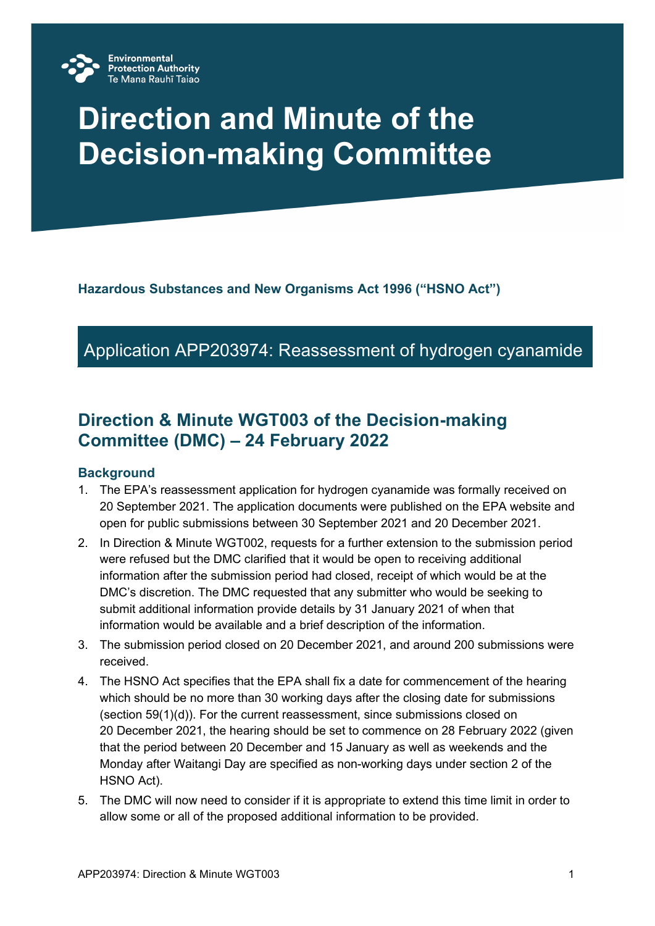

# **Direction and Minute of the Decision-making Committee**

**Hazardous Substances and New Organisms Act 1996 ("HSNO Act")**

# Application APP203974: Reassessment of hydrogen cyanamide

# **Direction & Minute WGT003 of the Decision-making Committee (DMC) – 24 February 2022**

#### **Background**

- 1. The EPA's reassessment application for hydrogen cyanamide was formally received on 20 September 2021. The application documents were published on the EPA website and open for public submissions between 30 September 2021 and 20 December 2021.
- 2. In Direction & Minute WGT002, requests for a further extension to the submission period were refused but the DMC clarified that it would be open to receiving additional information after the submission period had closed, receipt of which would be at the DMC's discretion. The DMC requested that any submitter who would be seeking to submit additional information provide details by 31 January 2021 of when that information would be available and a brief description of the information.
- 3. The submission period closed on 20 December 2021, and around 200 submissions were received.
- 4. The HSNO Act specifies that the EPA shall fix a date for commencement of the hearing which should be no more than 30 working days after the closing date for submissions (section 59(1)(d)). For the current reassessment, since submissions closed on 20 December 2021, the hearing should be set to commence on 28 February 2022 (given that the period between 20 December and 15 January as well as weekends and the Monday after Waitangi Day are specified as non-working days under section 2 of the HSNO Act).
- 5. The DMC will now need to consider if it is appropriate to extend this time limit in order to allow some or all of the proposed additional information to be provided.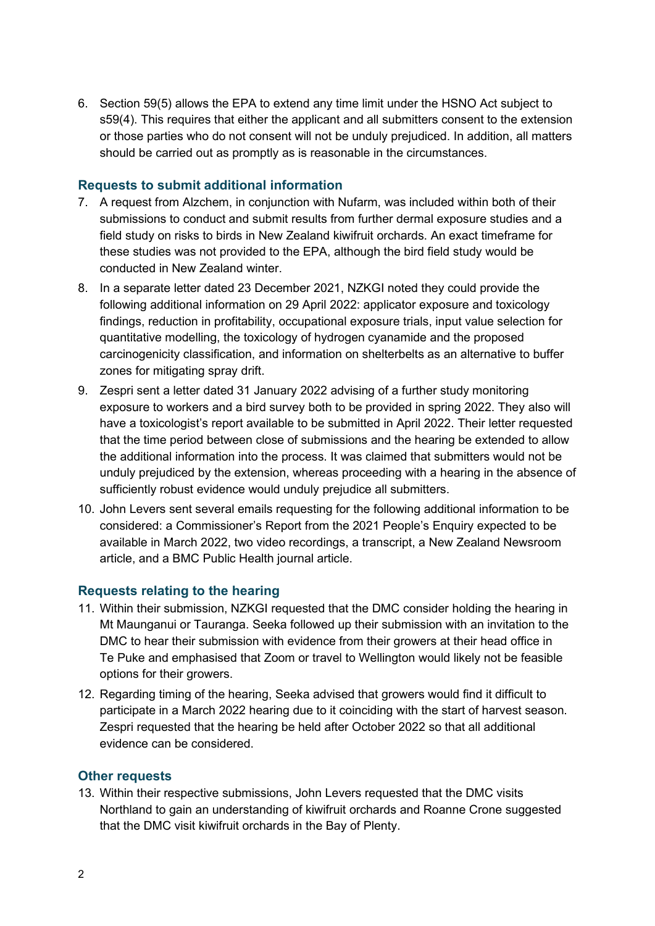6. Section 59(5) allows the EPA to extend any time limit under the HSNO Act subject to s59(4). This requires that either the applicant and all submitters consent to the extension or those parties who do not consent will not be unduly prejudiced. In addition, all matters should be carried out as promptly as is reasonable in the circumstances.

#### **Requests to submit additional information**

- 7. A request from Alzchem, in conjunction with Nufarm, was included within both of their submissions to conduct and submit results from further dermal exposure studies and a field study on risks to birds in New Zealand kiwifruit orchards. An exact timeframe for these studies was not provided to the EPA, although the bird field study would be conducted in New Zealand winter.
- 8. In a separate letter dated 23 December 2021, NZKGI noted they could provide the following additional information on 29 April 2022: applicator exposure and toxicology findings, reduction in profitability, occupational exposure trials, input value selection for quantitative modelling, the toxicology of hydrogen cyanamide and the proposed carcinogenicity classification, and information on shelterbelts as an alternative to buffer zones for mitigating spray drift.
- 9. Zespri sent a letter dated 31 January 2022 advising of a further study monitoring exposure to workers and a bird survey both to be provided in spring 2022. They also will have a toxicologist's report available to be submitted in April 2022. Their letter requested that the time period between close of submissions and the hearing be extended to allow the additional information into the process. It was claimed that submitters would not be unduly prejudiced by the extension, whereas proceeding with a hearing in the absence of sufficiently robust evidence would unduly prejudice all submitters.
- 10. John Levers sent several emails requesting for the following additional information to be considered: a Commissioner's Report from the 2021 People's Enquiry expected to be available in March 2022, two video recordings, a transcript, a New Zealand Newsroom article, and a BMC Public Health journal article.

#### **Requests relating to the hearing**

- 11. Within their submission, NZKGI requested that the DMC consider holding the hearing in Mt Maunganui or Tauranga. Seeka followed up their submission with an invitation to the DMC to hear their submission with evidence from their growers at their head office in Te Puke and emphasised that Zoom or travel to Wellington would likely not be feasible options for their growers.
- 12. Regarding timing of the hearing, Seeka advised that growers would find it difficult to participate in a March 2022 hearing due to it coinciding with the start of harvest season. Zespri requested that the hearing be held after October 2022 so that all additional evidence can be considered.

#### **Other requests**

13. Within their respective submissions, John Levers requested that the DMC visits Northland to gain an understanding of kiwifruit orchards and Roanne Crone suggested that the DMC visit kiwifruit orchards in the Bay of Plenty.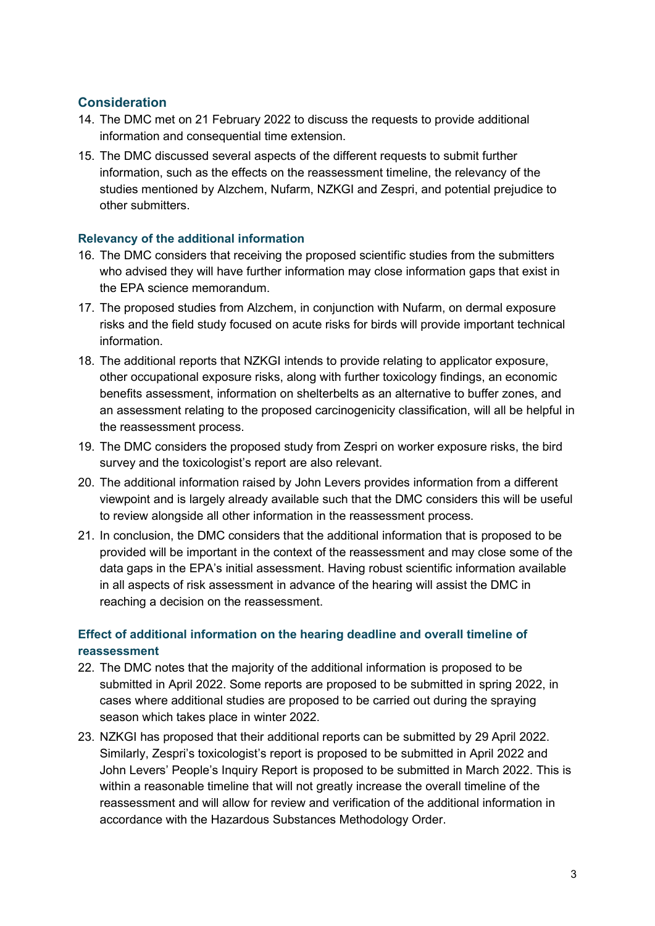### **Consideration**

- 14. The DMC met on 21 February 2022 to discuss the requests to provide additional information and consequential time extension.
- 15. The DMC discussed several aspects of the different requests to submit further information, such as the effects on the reassessment timeline, the relevancy of the studies mentioned by Alzchem, Nufarm, NZKGI and Zespri, and potential prejudice to other submitters.

#### **Relevancy of the additional information**

- 16. The DMC considers that receiving the proposed scientific studies from the submitters who advised they will have further information may close information gaps that exist in the EPA science memorandum.
- 17. The proposed studies from Alzchem, in conjunction with Nufarm, on dermal exposure risks and the field study focused on acute risks for birds will provide important technical information.
- 18. The additional reports that NZKGI intends to provide relating to applicator exposure, other occupational exposure risks, along with further toxicology findings, an economic benefits assessment, information on shelterbelts as an alternative to buffer zones, and an assessment relating to the proposed carcinogenicity classification, will all be helpful in the reassessment process.
- 19. The DMC considers the proposed study from Zespri on worker exposure risks, the bird survey and the toxicologist's report are also relevant.
- 20. The additional information raised by John Levers provides information from a different viewpoint and is largely already available such that the DMC considers this will be useful to review alongside all other information in the reassessment process.
- 21. In conclusion, the DMC considers that the additional information that is proposed to be provided will be important in the context of the reassessment and may close some of the data gaps in the EPA's initial assessment. Having robust scientific information available in all aspects of risk assessment in advance of the hearing will assist the DMC in reaching a decision on the reassessment.

## **Effect of additional information on the hearing deadline and overall timeline of reassessment**

- 22. The DMC notes that the majority of the additional information is proposed to be submitted in April 2022. Some reports are proposed to be submitted in spring 2022, in cases where additional studies are proposed to be carried out during the spraying season which takes place in winter 2022.
- 23. NZKGI has proposed that their additional reports can be submitted by 29 April 2022. Similarly, Zespri's toxicologist's report is proposed to be submitted in April 2022 and John Levers' People's Inquiry Report is proposed to be submitted in March 2022. This is within a reasonable timeline that will not greatly increase the overall timeline of the reassessment and will allow for review and verification of the additional information in accordance with the Hazardous Substances Methodology Order.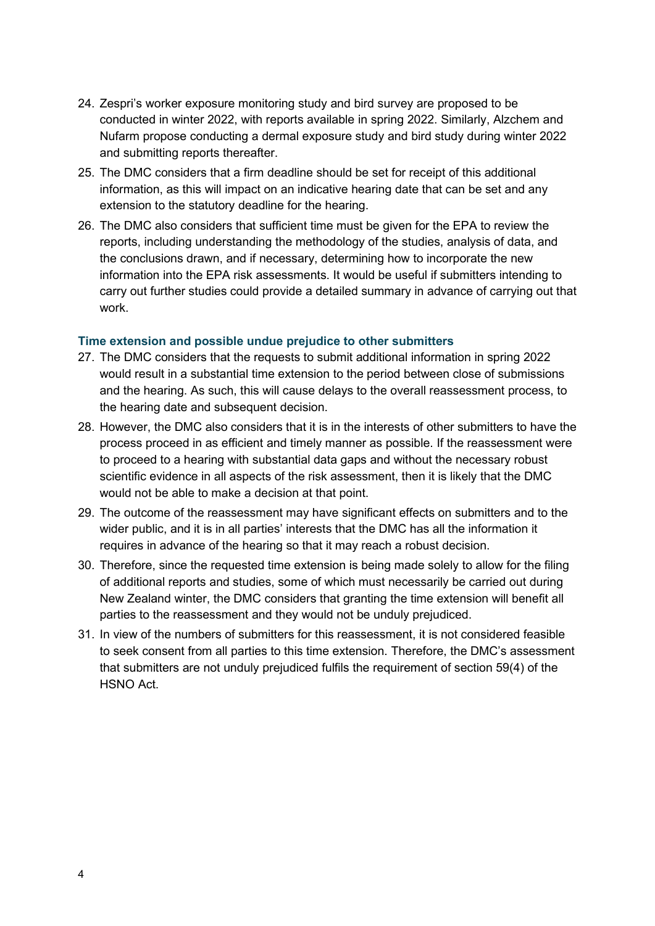- 24. Zespri's worker exposure monitoring study and bird survey are proposed to be conducted in winter 2022, with reports available in spring 2022. Similarly, Alzchem and Nufarm propose conducting a dermal exposure study and bird study during winter 2022 and submitting reports thereafter.
- 25. The DMC considers that a firm deadline should be set for receipt of this additional information, as this will impact on an indicative hearing date that can be set and any extension to the statutory deadline for the hearing.
- 26. The DMC also considers that sufficient time must be given for the EPA to review the reports, including understanding the methodology of the studies, analysis of data, and the conclusions drawn, and if necessary, determining how to incorporate the new information into the EPA risk assessments. It would be useful if submitters intending to carry out further studies could provide a detailed summary in advance of carrying out that work.

#### **Time extension and possible undue prejudice to other submitters**

- 27. The DMC considers that the requests to submit additional information in spring 2022 would result in a substantial time extension to the period between close of submissions and the hearing. As such, this will cause delays to the overall reassessment process, to the hearing date and subsequent decision.
- 28. However, the DMC also considers that it is in the interests of other submitters to have the process proceed in as efficient and timely manner as possible. If the reassessment were to proceed to a hearing with substantial data gaps and without the necessary robust scientific evidence in all aspects of the risk assessment, then it is likely that the DMC would not be able to make a decision at that point.
- 29. The outcome of the reassessment may have significant effects on submitters and to the wider public, and it is in all parties' interests that the DMC has all the information it requires in advance of the hearing so that it may reach a robust decision.
- 30. Therefore, since the requested time extension is being made solely to allow for the filing of additional reports and studies, some of which must necessarily be carried out during New Zealand winter, the DMC considers that granting the time extension will benefit all parties to the reassessment and they would not be unduly prejudiced.
- 31. In view of the numbers of submitters for this reassessment, it is not considered feasible to seek consent from all parties to this time extension. Therefore, the DMC's assessment that submitters are not unduly prejudiced fulfils the requirement of section 59(4) of the HSNO Act.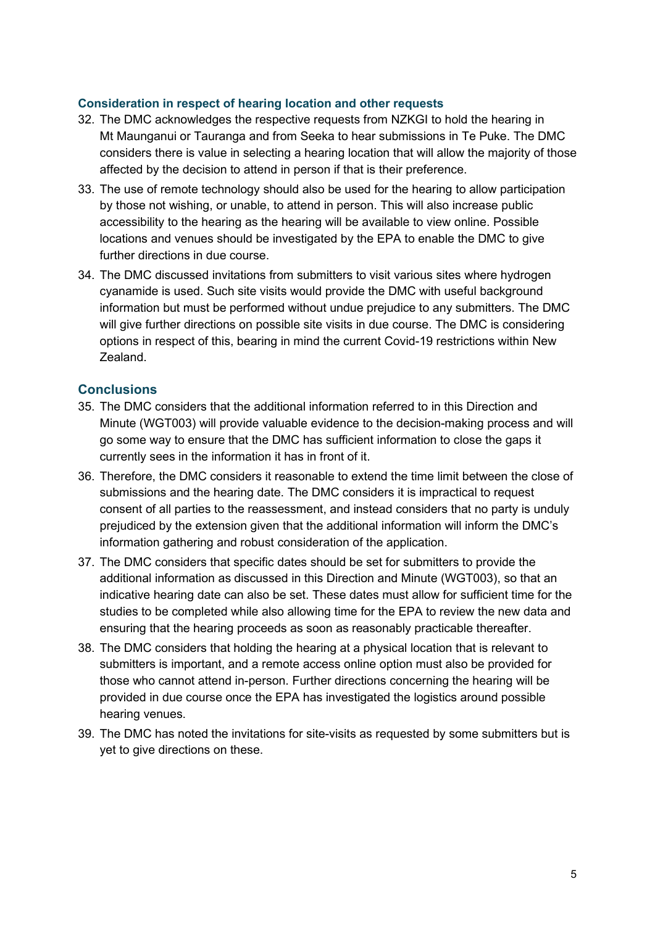#### **Consideration in respect of hearing location and other requests**

- 32. The DMC acknowledges the respective requests from NZKGI to hold the hearing in Mt Maunganui or Tauranga and from Seeka to hear submissions in Te Puke. The DMC considers there is value in selecting a hearing location that will allow the majority of those affected by the decision to attend in person if that is their preference.
- 33. The use of remote technology should also be used for the hearing to allow participation by those not wishing, or unable, to attend in person. This will also increase public accessibility to the hearing as the hearing will be available to view online. Possible locations and venues should be investigated by the EPA to enable the DMC to give further directions in due course.
- 34. The DMC discussed invitations from submitters to visit various sites where hydrogen cyanamide is used. Such site visits would provide the DMC with useful background information but must be performed without undue prejudice to any submitters. The DMC will give further directions on possible site visits in due course. The DMC is considering options in respect of this, bearing in mind the current Covid-19 restrictions within New Zealand.

#### **Conclusions**

- 35. The DMC considers that the additional information referred to in this Direction and Minute (WGT003) will provide valuable evidence to the decision-making process and will go some way to ensure that the DMC has sufficient information to close the gaps it currently sees in the information it has in front of it.
- 36. Therefore, the DMC considers it reasonable to extend the time limit between the close of submissions and the hearing date. The DMC considers it is impractical to request consent of all parties to the reassessment, and instead considers that no party is unduly prejudiced by the extension given that the additional information will inform the DMC's information gathering and robust consideration of the application.
- 37. The DMC considers that specific dates should be set for submitters to provide the additional information as discussed in this Direction and Minute (WGT003), so that an indicative hearing date can also be set. These dates must allow for sufficient time for the studies to be completed while also allowing time for the EPA to review the new data and ensuring that the hearing proceeds as soon as reasonably practicable thereafter.
- 38. The DMC considers that holding the hearing at a physical location that is relevant to submitters is important, and a remote access online option must also be provided for those who cannot attend in-person. Further directions concerning the hearing will be provided in due course once the EPA has investigated the logistics around possible hearing venues.
- 39. The DMC has noted the invitations for site-visits as requested by some submitters but is yet to give directions on these.